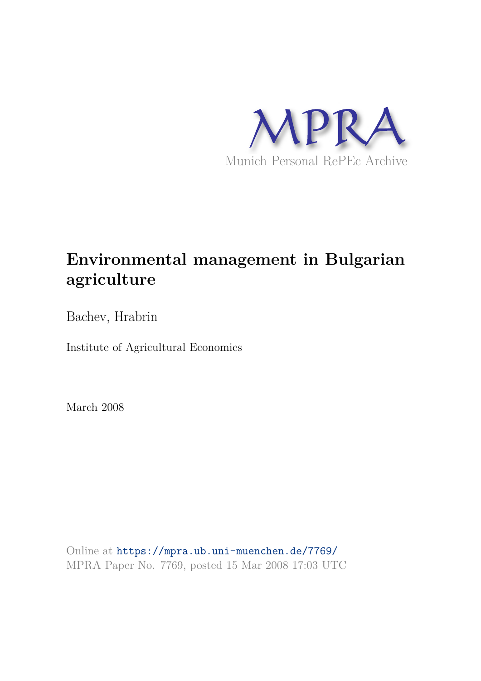

# **Environmental management in Bulgarian agriculture**

Bachev, Hrabrin

Institute of Agricultural Economics

March 2008

Online at https://mpra.ub.uni-muenchen.de/7769/ MPRA Paper No. 7769, posted 15 Mar 2008 17:03 UTC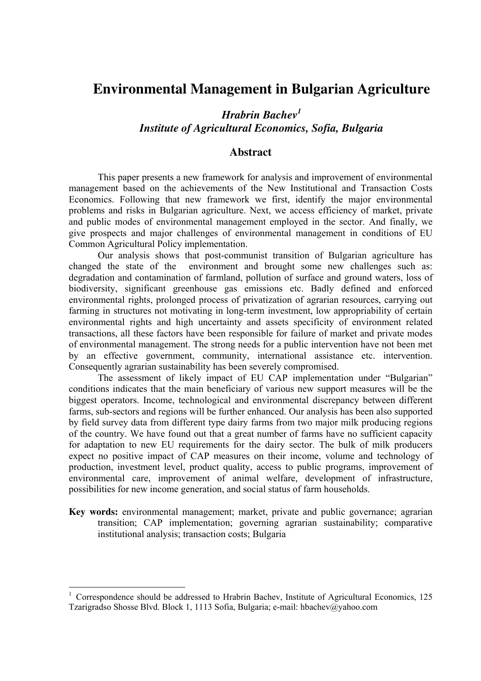## **Environmental Management in Bulgarian Agriculture**

## *Hrabrin Bachev<sup>1</sup> Institute of Agricultural Economics, Sofia, Bulgaria*

#### **Abstract**

This paper presents a new framework for analysis and improvement of environmental management based on the achievements of the New Institutional and Transaction Costs Economics. Following that new framework we first, identify the major environmental problems and risks in Bulgarian agriculture. Next, we access efficiency of market, private and public modes of environmental management employed in the sector. And finally, we give prospects and major challenges of environmental management in conditions of EU Common Agricultural Policy implementation.

Our analysis shows that post-communist transition of Bulgarian agriculture has changed the state of the environment and brought some new challenges such as: degradation and contamination of farmland, pollution of surface and ground waters, loss of biodiversity, significant greenhouse gas emissions etc. Badly defined and enforced environmental rights, prolonged process of privatization of agrarian resources, carrying out farming in structures not motivating in long-term investment, low appropriability of certain environmental rights and high uncertainty and assets specificity of environment related transactions, all these factors have been responsible for failure of market and private modes of environmental management. The strong needs for a public intervention have not been met by an effective government, community, international assistance etc. intervention. Consequently agrarian sustainability has been severely compromised.

The assessment of likely impact of EU CAP implementation under "Bulgarian" conditions indicates that the main beneficiary of various new support measures will be the biggest operators. Income, technological and environmental discrepancy between different farms, sub-sectors and regions will be further enhanced. Our analysis has been also supported by field survey data from different type dairy farms from two major milk producing regions of the country. We have found out that a great number of farms have no sufficient capacity for adaptation to new EU requirements for the dairy sector. The bulk of milk producers expect no positive impact of CAP measures on their income, volume and technology of production, investment level, product quality, access to public programs, improvement of environmental care, improvement of animal welfare, development of infrastructure, possibilities for new income generation, and social status of farm households.

**Key words:** environmental management; market, private and public governance; agrarian transition; CAP implementation; governing agrarian sustainability; comparative institutional analysis; transaction costs; Bulgaria

<sup>&</sup>lt;sup>1</sup> Correspondence should be addressed to Hrabrin Bachev, Institute of Agricultural Economics, 125 Tzarigradso Shosse Blvd. Block 1, 1113 Sofia, Bulgaria; e-mail: hbachev@yahoo.com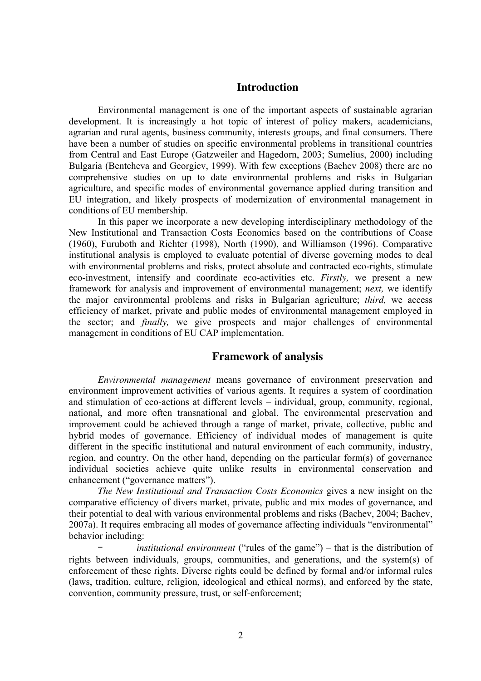#### **Introduction**

Environmental management is one of the important aspects of sustainable agrarian development. It is increasingly a hot topic of interest of policy makers, academicians, agrarian and rural agents, business community, interests groups, and final consumers. There have been a number of studies on specific environmental problems in transitional countries from Central and East Europe (Gatzweiler and Hagedorn, 2003; Sumelius, 2000) including Bulgaria (Bentcheva and Georgiev, 1999). With few exceptions (Bachev 2008) there are no comprehensive studies on up to date environmental problems and risks in Bulgarian agriculture, and specific modes of environmental governance applied during transition and EU integration, and likely prospects of modernization of environmental management in conditions of EU membership.

In this paper we incorporate a new developing interdisciplinary methodology of the New Institutional and Transaction Costs Economics based on the contributions of Coase (1960), Furuboth and Richter (1998), North (1990), and Williamson (1996). Comparative institutional analysis is employed to evaluate potential of diverse governing modes to deal with environmental problems and risks, protect absolute and contracted eco-rights, stimulate eco-investment, intensify and coordinate eco-activities etc. *Firstly,* we present a new framework for analysis and improvement of environmental management; *next,* we identify the major environmental problems and risks in Bulgarian agriculture; *third,* we access efficiency of market, private and public modes of environmental management employed in the sector; and *finally,* we give prospects and major challenges of environmental management in conditions of EU CAP implementation.

#### **Framework of analysis**

*Environmental management* means governance of environment preservation and environment improvement activities of various agents. It requires a system of coordination and stimulation of eco-actions at different levels – individual, group, community, regional, national, and more often transnational and global. The environmental preservation and improvement could be achieved through a range of market, private, collective, public and hybrid modes of governance. Efficiency of individual modes of management is quite different in the specific institutional and natural environment of each community, industry, region, and country. On the other hand, depending on the particular form(s) of governance individual societies achieve quite unlike results in environmental conservation and enhancement ("governance matters").

*The New Institutional and Transaction Costs Economics* gives a new insight on the comparative efficiency of divers market, private, public and mix modes of governance, and their potential to deal with various environmental problems and risks (Bachev, 2004; Bachev, 2007a). It requires embracing all modes of governance affecting individuals "environmental" behavior including:

– *institutional environment* ("rules of the game") – that is the distribution of rights between individuals, groups, communities, and generations, and the system(s) of enforcement of these rights. Diverse rights could be defined by formal and/or informal rules (laws, tradition, culture, religion, ideological and ethical norms), and enforced by the state, convention, community pressure, trust, or self-enforcement;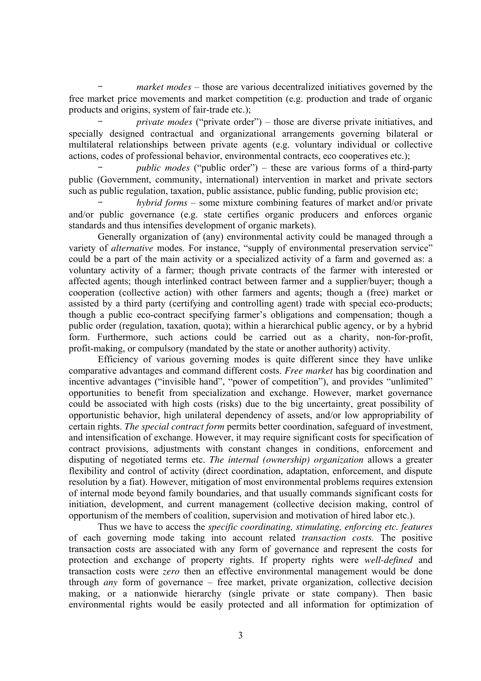– *market modes* – those are various decentralized initiatives governed by the free market price movements and market competition (e.g. production and trade of organic products and origins, system of fair-trade etc.);

– *private modes* ("private order") – those are diverse private initiatives, and specially designed contractual and organizational arrangements governing bilateral or multilateral relationships between private agents (e.g. voluntary individual or collective actions, codes of professional behavior, environmental contracts, eco cooperatives etc.);

– *public modes* ("public order") – these are various forms of a third-party public (Government, community, international) intervention in market and private sectors such as public regulation, taxation, public assistance, public funding, public provision etc;

– *hybrid forms* – some mixture combining features of market and/or private and/or public governance (e.g. state certifies organic producers and enforces organic standards and thus intensifies development of organic markets).

Generally organization of (any) environmental activity could be managed through a variety of *alternative* modes. For instance, "supply of environmental preservation service" could be a part of the main activity or a specialized activity of a farm and governed as: a voluntary activity of a farmer; though private contracts of the farmer with interested or affected agents; though interlinked contract between farmer and a supplier/buyer; though a cooperation (collective action) with other farmers and agents; though a (free) market or assisted by a third party (certifying and controlling agent) trade with special eco-products; though a public eco-contract specifying farmer's obligations and compensation; though a public order (regulation, taxation, quota); within a hierarchical public agency, or by a hybrid form. Furthermore, such actions could be carried out as a charity, non-for-profit, profit-making, or compulsory (mandated by the state or another authority) activity.

Efficiency of various governing modes is quite different since they have unlike comparative advantages and command different costs. *Free market* has big coordination and incentive advantages ("invisible hand", "power of competition"), and provides "unlimited" opportunities to benefit from specialization and exchange. However, market governance could be associated with high costs (risks) due to the big uncertainty, great possibility of opportunistic behavior, high unilateral dependency of assets, and/or low appropriability of certain rights. *The special contract form* permits better coordination, safeguard of investment, and intensification of exchange. However, it may require significant costs for specification of contract provisions, adjustments with constant changes in conditions, enforcement and disputing of negotiated terms etc. *The internal (ownership) organization* allows a greater flexibility and control of activity (direct coordination, adaptation, enforcement, and dispute resolution by a fiat). However, mitigation of most environmental problems requires extension of internal mode beyond family boundaries, and that usually commands significant costs for initiation, development, and current management (collective decision making, control of opportunism of the members of coalition, supervision and motivation of hired labor etc.).

Thus we have to access the *specific coordinating, stimulating, enforcing etc. features*  of each governing mode taking into account related *transaction costs.* The positive transaction costs are associated with any form of governance and represent the costs for protection and exchange of property rights. If property rights were *well-defined* and transaction costs were *zero* then an effective environmental management would be done through *any* form of governance – free market, private organization, collective decision making, or a nationwide hierarchy (single private or state company). Then basic environmental rights would be easily protected and all information for optimization of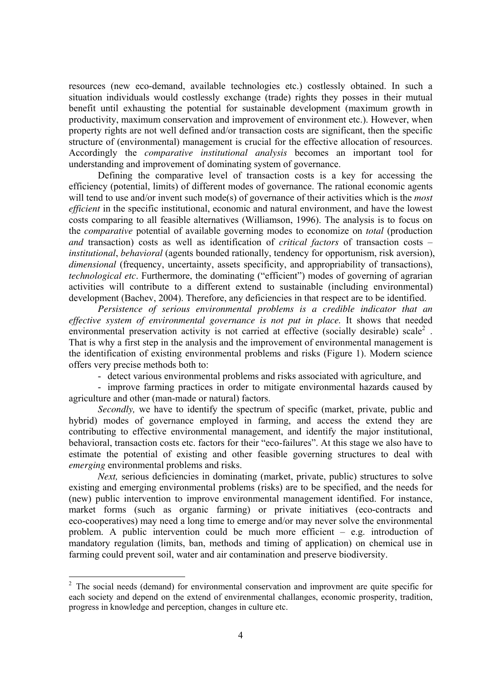resources (new eco-demand, available technologies etc.) costlessly obtained. In such a situation individuals would costlessly exchange (trade) rights they posses in their mutual benefit until exhausting the potential for sustainable development (maximum growth in productivity, maximum conservation and improvement of environment etc.). However, when property rights are not well defined and/or transaction costs are significant, then the specific structure of (environmental) management is crucial for the effective allocation of resources. Accordingly the *comparative institutional analysis* becomes an important tool for understanding and improvement of dominating system of governance.

Defining the comparative level of transaction costs is a key for accessing the efficiency (potential, limits) of different modes of governance. The rational economic agents will tend to use and/or invent such mode(s) of governance of their activities which is the *most efficient* in the specific institutional, economic and natural environment, and have the lowest costs comparing to all feasible alternatives (Williamson, 1996). The analysis is to focus on the *comparative* potential of available governing modes to economize on *total* (production *and* transaction) costs as well as identification of *critical factors* of transaction costs – *institutional*, *behavioral* (agents bounded rationally, tendency for opportunism, risk aversion), *dimensional* (frequency, uncertainty, assets specificity, and appropriability of transactions), *technological etc*. Furthermore, the dominating ("efficient") modes of governing of agrarian activities will contribute to a different extend to sustainable (including environmental) development (Bachev, 2004). Therefore, any deficiencies in that respect are to be identified.

*Persistence of serious environmental problems is a credible indicator that an effective system of environmental governance is not put in place.* It shows that needed environmental preservation activity is not carried at effective (socially desirable) scale<sup>2</sup>. That is why a first step in the analysis and the improvement of environmental management is the identification of existing environmental problems and risks (Figure 1). Modern science offers very precise methods both to:

- detect various environmental problems and risks associated with agriculture, and

- improve farming practices in order to mitigate environmental hazards caused by agriculture and other (man-made or natural) factors.

*Secondly,* we have to identify the spectrum of specific (market, private, public and hybrid) modes of governance employed in farming, and access the extend they are contributing to effective environmental management, and identify the major institutional, behavioral, transaction costs etc. factors for their "eco-failures". At this stage we also have to estimate the potential of existing and other feasible governing structures to deal with *emerging* environmental problems and risks.

*Next*, serious deficiencies in dominating (market, private, public) structures to solve existing and emerging environmental problems (risks) are to be specified, and the needs for (new) public intervention to improve environmental management identified. For instance, market forms (such as organic farming) or private initiatives (eco-contracts and eco-cooperatives) may need a long time to emerge and/or may never solve the environmental problem. A public intervention could be much more efficient – e.g. introduction of mandatory regulation (limits, ban, methods and timing of application) on chemical use in farming could prevent soil, water and air contamination and preserve biodiversity.

<sup>&</sup>lt;sup>2</sup> The social needs (demand) for environmental conservation and improvment are quite specific for each society and depend on the extend of envirenmental challanges, economic prosperity, tradition, progress in knowledge and perception, changes in culture etc.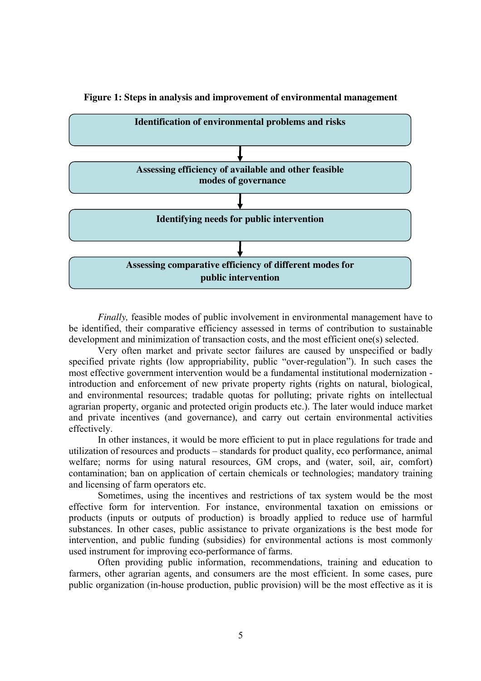

**Figure 1: Steps in analysis and improvement of environmental management** 

*Finally,* feasible modes of public involvement in environmental management have to be identified, their comparative efficiency assessed in terms of contribution to sustainable development and minimization of transaction costs, and the most efficient one(s) selected.

Very often market and private sector failures are caused by unspecified or badly specified private rights (low appropriability, public "over-regulation"). In such cases the most effective government intervention would be a fundamental institutional modernization introduction and enforcement of new private property rights (rights on natural, biological, and environmental resources; tradable quotas for polluting; private rights on intellectual agrarian property, organic and protected origin products etc.). The later would induce market and private incentives (and governance), and carry out certain environmental activities effectively.

In other instances, it would be more efficient to put in place regulations for trade and utilization of resources and products – standards for product quality, eco performance, animal welfare; norms for using natural resources, GM crops, and (water, soil, air, comfort) contamination; ban on application of certain chemicals or technologies; mandatory training and licensing of farm operators etc.

Sometimes, using the incentives and restrictions of tax system would be the most effective form for intervention. For instance, environmental taxation on emissions or products (inputs or outputs of production) is broadly applied to reduce use of harmful substances. In other cases, public assistance to private organizations is the best mode for intervention, and public funding (subsidies) for environmental actions is most commonly used instrument for improving eco-performance of farms.

Often providing public information, recommendations, training and education to farmers, other agrarian agents, and consumers are the most efficient. In some cases, pure public organization (in-house production, public provision) will be the most effective as it is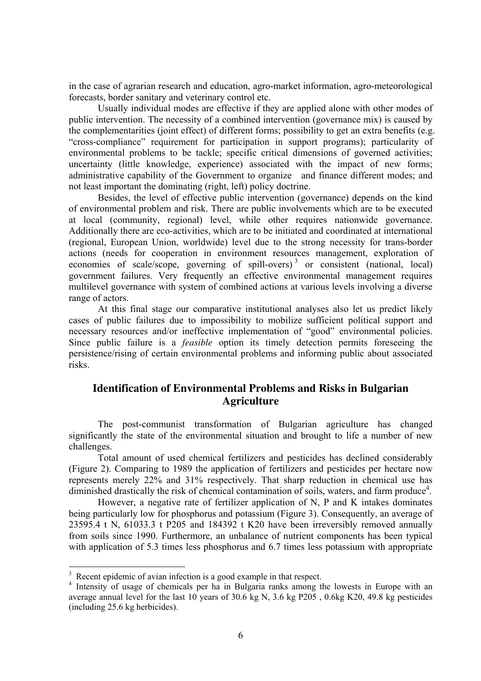in the case of agrarian research and education, agro-market information, agro-meteorological forecasts, border sanitary and veterinary control etc.

Usually individual modes are effective if they are applied alone with other modes of public intervention. The necessity of a combined intervention (governance mix) is caused by the complementarities (joint effect) of different forms; possibility to get an extra benefits (e.g. "cross-compliance" requirement for participation in support programs); particularity of environmental problems to be tackle; specific critical dimensions of governed activities; uncertainty (little knowledge, experience) associated with the impact of new forms; administrative capability of the Government to organize and finance different modes; and not least important the dominating (right, left) policy doctrine.

Besides, the level of effective public intervention (governance) depends on the kind of environmental problem and risk. There are public involvements which are to be executed at local (community, regional) level, while other requires nationwide governance. Additionally there are eco-activities, which are to be initiated and coordinated at international (regional, European Union, worldwide) level due to the strong necessity for trans-border actions (needs for cooperation in environment resources management, exploration of economies of scale/scope, governing of spill-overs)<sup>3</sup> or consistent (national, local) government failures. Very frequently an effective environmental management requires multilevel governance with system of combined actions at various levels involving a diverse range of actors.

At this final stage our comparative institutional analyses also let us predict likely cases of public failures due to impossibility to mobilize sufficient political support and necessary resources and/or ineffective implementation of "good" environmental policies. Since public failure is a *feasible* option its timely detection permits foreseeing the persistence/rising of certain environmental problems and informing public about associated risks.

## **Identification of Environmental Problems and Risks in Bulgarian Agriculture**

The post-communist transformation of Bulgarian agriculture has changed significantly the state of the environmental situation and brought to life a number of new challenges.

Total amount of used chemical fertilizers and pesticides has declined considerably (Figure 2). Comparing to 1989 the application of fertilizers and pesticides per hectare now represents merely 22% and 31% respectively. That sharp reduction in chemical use has diminished drastically the risk of chemical contamination of soils, waters, and farm produce<sup>4</sup>.

However, a negative rate of fertilizer application of N, P and K intakes dominates being particularly low for phosphorus and potassium (Figure 3). Consequently, an average of 23595.4 t N, 61033.3 t P205 and 184392 t K20 have been irreversibly removed annually from soils since 1990. Furthermore, an unbalance of nutrient components has been typical with application of 5.3 times less phosphorus and 6.7 times less potassium with appropriate

<sup>&</sup>lt;sup>3</sup> Recent epidemic of avian infection is a good example in that respect.

<sup>&</sup>lt;sup>4</sup> Intensity of usage of chemicals per ha in Bulgaria ranks among the lowests in Europe with an average annual level for the last 10 years of 30.6 kg N, 3.6 kg P205 , 0.6kg K20, 49.8 kg pesticides (including 25.6 kg herbicides).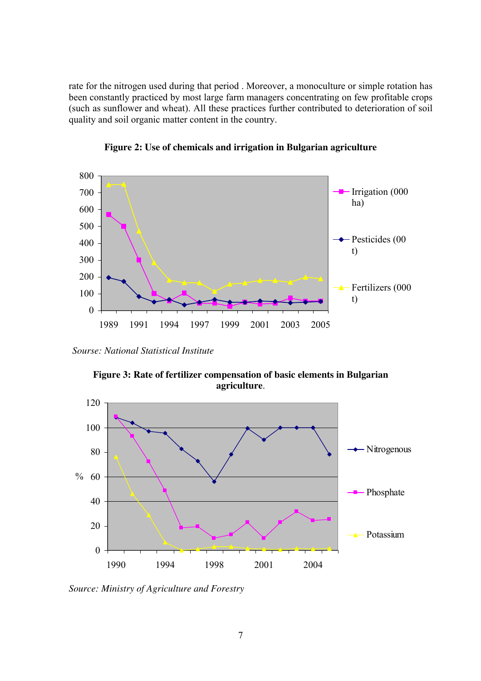rate for the nitrogen used during that period . Moreover, a monoculture or simple rotation has been constantly practiced by most large farm managers concentrating on few profitable crops (such as sunflower and wheat). All these practices further contributed to deterioration of soil quality and soil organic matter content in the country.





*Sourse: National Statistical Institute* 



**Figure 3: Rate of fertilizer compensation of basic elements in Bulgarian agriculture**.

*Source: Ministry of Agriculture and Forestry*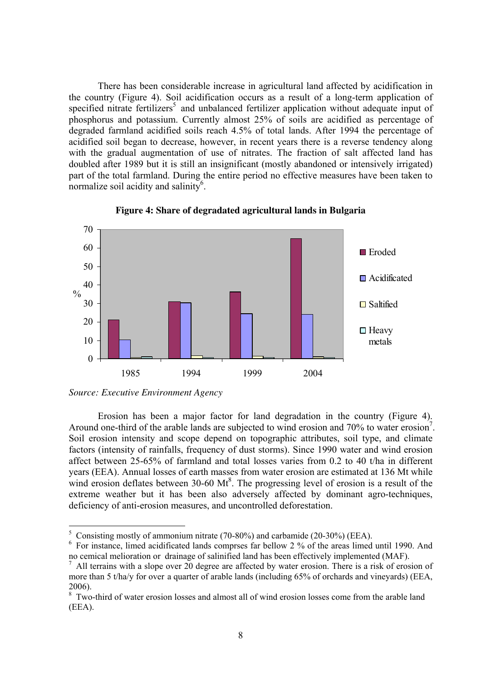There has been considerable increase in agricultural land affected by acidification in the country (Figure 4). Soil acidification occurs as a result of a long-term application of specified nitrate fertilizers<sup>5</sup> and unbalanced fertilizer application without adequate input of phosphorus and potassium. Currently almost 25% of soils are acidified as percentage of degraded farmland acidified soils reach 4.5% of total lands. After 1994 the percentage of acidified soil began to decrease, however, in recent years there is a reverse tendency along with the gradual augmentation of use of nitrates. The fraction of salt affected land has doubled after 1989 but it is still an insignificant (mostly abandoned or intensively irrigated) part of the total farmland. During the entire period no effective measures have been taken to normalize soil acidity and salinity<sup>6</sup>.



**Figure 4: Share of degradated agricultural lands in Bulgaria** 

Erosion has been a major factor for land degradation in the country (Figure 4). Around one-third of the arable lands are subjected to wind erosion and  $70\%$  to water erosion<sup>7</sup>. Soil erosion intensity and scope depend on topographic attributes, soil type, and climate factors (intensity of rainfalls, frequency of dust storms). Since 1990 water and wind erosion affect between 25-65% of farmland and total losses varies from 0.2 to 40 t/ha in different years (EEA). Annual losses of earth masses from water erosion are estimated at 136 Mt while wind erosion deflates between  $30{\text -}60$  Mt<sup>8</sup>. The progressing level of erosion is a result of the extreme weather but it has been also adversely affected by dominant agro-techniques, deficiency of anti-erosion measures, and uncontrolled deforestation.

*Source: Executive Environment Agency* 

<sup>&</sup>lt;sup>5</sup> Consisting mostly of ammonium nitrate (70-80%) and carbamide (20-30%) (EEA).

<sup>&</sup>lt;sup>6</sup> For instance, limed acidificated lands comprses far bellow 2 % of the areas limed until 1990. And no cemical melioration or drainage of salinified land has been effectively implemented (MAF).

 $<sup>7</sup>$  All terrains with a slope over 20 degree are affected by water erosion. There is a risk of erosion of</sup> more than 5 t/ha/y for over a quarter of arable lands (including 65% of orchards and vineyards) (EEA, 2006).

<sup>&</sup>lt;sup>8</sup> Two-third of water erosion losses and almost all of wind erosion losses come from the arable land (EEA).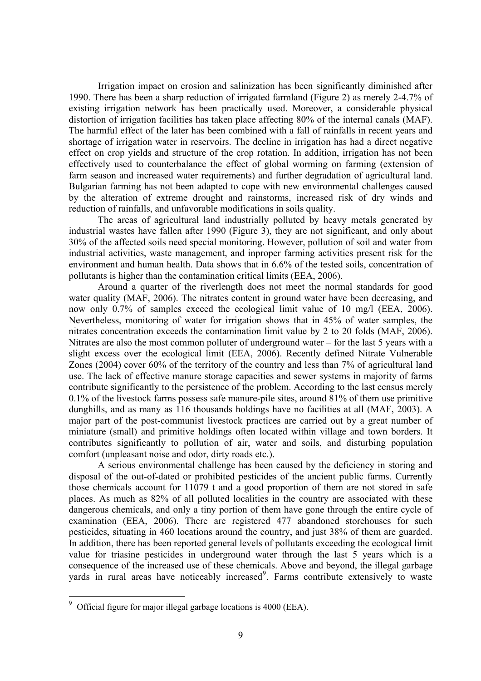Irrigation impact on erosion and salinization has been significantly diminished after 1990. There has been a sharp reduction of irrigated farmland (Figure 2) as merely 2-4.7% of existing irrigation network has been practically used. Moreover, a considerable physical distortion of irrigation facilities has taken place affecting 80% of the internal canals (MAF). The harmful effect of the later has been combined with a fall of rainfalls in recent years and shortage of irrigation water in reservoirs. The decline in irrigation has had a direct negative effect on crop yields and structure of the crop rotation. In addition, irrigation has not been effectively used to counterbalance the effect of global worming on farming (extension of farm season and increased water requirements) and further degradation of agricultural land. Bulgarian farming has not been adapted to cope with new environmental challenges caused by the alteration of extreme drought and rainstorms, increased risk of dry winds and reduction of rainfalls, and unfavorable modifications in soils quality.

The areas of agricultural land industrially polluted by heavy metals generated by industrial wastes have fallen after 1990 (Figure 3), they are not significant, and only about 30% of the affected soils need special monitoring. However, pollution of soil and water from industrial activities, waste management, and inproper farming activities present risk for the environment and human health. Data shows that in 6.6% of the tested soils, concentration of pollutants is higher than the contamination critical limits (EEA, 2006).

Around a quarter of the riverlength does not meet the normal standards for good water quality (MAF, 2006). The nitrates content in ground water have been decreasing, and now only 0.7% of samples exceed the ecological limit value of 10 mg/l (EEA, 2006). Nevertheless, monitoring of water for irrigation shows that in 45% of water samples, the nitrates concentration exceeds the contamination limit value by 2 to 20 folds (MAF, 2006). Nitrates are also the most common polluter of underground water – for the last 5 years with a slight excess over the ecological limit (EEA, 2006). Recently defined Nitrate Vulnerable Zones (2004) cover 60% of the territory of the country and less than 7% of agricultural land use. The lack of effective manure storage capacities and sewer systems in majority of farms contribute significantly to the persistence of the problem. According to the last census merely 0.1% of the livestock farms possess safe manure-pile sites, around 81% of them use primitive dunghills, and as many as 116 thousands holdings have no facilities at all (MAF, 2003). A major part of the post-communist livestock practices are carried out by a great number of miniature (small) and primitive holdings often located within village and town borders. It contributes significantly to pollution of air, water and soils, and disturbing population comfort (unpleasant noise and odor, dirty roads etc.).

A serious environmental challenge has been caused by the deficiency in storing and disposal of the out-of-dated or prohibited pesticides of the ancient public farms. Currently those chemicals account for 11079 t and a good proportion of them are not stored in safe places. As much as 82% of all polluted localities in the country are associated with these dangerous chemicals, and only a tiny portion of them have gone through the entire cycle of examination (EEA, 2006). There are registered 477 abandoned storehouses for such pesticides, situating in 460 locations around the country, and just 38% of them are guarded. In addition, there has been reported general levels of pollutants exceeding the ecological limit value for triasine pesticides in underground water through the last 5 years which is a consequence of the increased use of these chemicals. Above and beyond, the illegal garbage yards in rural areas have noticeably increased<sup>9</sup>. Farms contribute extensively to waste

 $9$  Official figure for major illegal garbage locations is 4000 (EEA).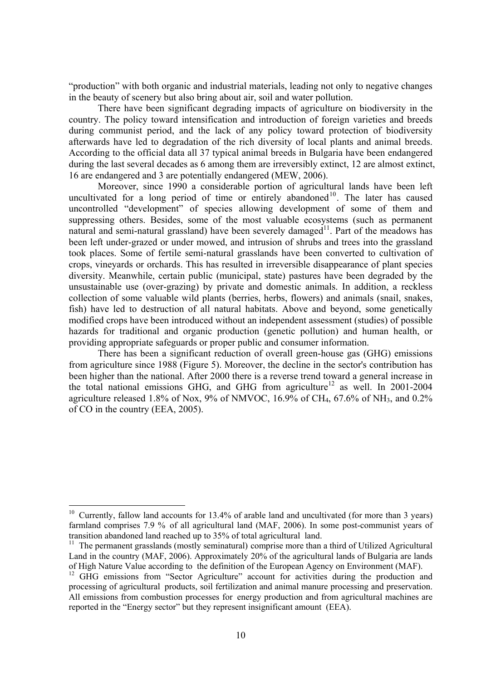"production" with both organic and industrial materials, leading not only to negative changes in the beauty of scenery but also bring about air, soil and water pollution.

There have been significant degrading impacts of agriculture on biodiversity in the country. The policy toward intensification and introduction of foreign varieties and breeds during communist period, and the lack of any policy toward protection of biodiversity afterwards have led to degradation of the rich diversity of local plants and animal breeds. According to the official data all 37 typical animal breeds in Bulgaria have been endangered during the last several decades as 6 among them are irreversibly extinct, 12 are almost extinct, 16 are endangered and 3 are potentially endangered (MEW, 2006).

Moreover, since 1990 a considerable portion of agricultural lands have been left uncultivated for a long period of time or entirely abandoned<sup>10</sup>. The later has caused uncontrolled "development" of species allowing development of some of them and suppressing others. Besides, some of the most valuable ecosystems (such as permanent natural and semi-natural grassland) have been severely damaged<sup>11</sup>. Part of the meadows has been left under-grazed or under mowed, and intrusion of shrubs and trees into the grassland took places. Some of fertile semi-natural grasslands have been converted to cultivation of crops, vineyards or orchards. This has resulted in irreversible disappearance of plant species diversity. Meanwhile, certain public (municipal, state) pastures have been degraded by the unsustainable use (over-grazing) by private and domestic animals. In addition, a reckless collection of some valuable wild plants (berries, herbs, flowers) and animals (snail, snakes, fish) have led to destruction of all natural habitats. Above and beyond, some genetically modified crops have been introduced without an independent assessment (studies) of possible hazards for traditional and organic production (genetic pollution) and human health, or providing appropriate safeguards or proper public and consumer information.

There has been a significant reduction of overall green-house gas (GHG) emissions from agriculture since 1988 (Figure 5). Moreover, the decline in the sector's contribution has been higher than the national. After 2000 there is a reverse trend toward a general increase in the total national emissions GHG, and GHG from agriculture<sup>12</sup> as well. In 2001-2004 agriculture released 1.8% of Nox, 9% of NMVOC, 16.9% of CH<sub>4</sub>, 67.6% of NH<sub>3</sub>, and 0.2% of CO in the country (EEA, 2005).

<sup>&</sup>lt;sup>10</sup> Currently, fallow land accounts for 13.4% of arable land and uncultivated (for more than 3 years) farmland comprises 7.9 % of all agricultural land (MAF, 2006). In some post-communist years of transition abandoned land reached up to 35% of total agricultural land.

 $11$  The permanent grasslands (mostly seminatural) comprise more than a third of Utilized Agricultural Land in the country (MAF, 2006). Approximately 20% of the agricultural lands of Bulgaria are lands of High Nature Value according to the definition of the European Agency on Environment (MAF).

<sup>&</sup>lt;sup>12</sup> GHG emissions from "Sector Agriculture" account for activities during the production and processing of agricultural products, soil fertilization and animal manure processing and preservation. All emissions from combustion processes for energy production and from agricultural machines are reported in the "Energy sector" but they represent insignificant amount (EEA).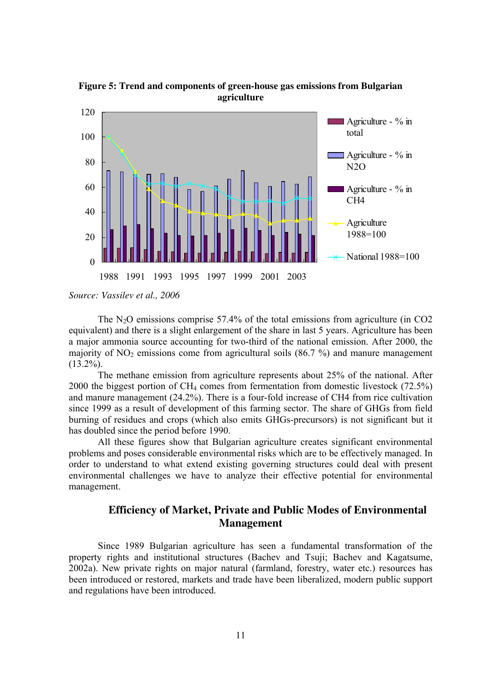

**Figure 5: Trend and components of green-house gas emissions from Bulgarian agriculture** 

*Source: Vassilev et al., 2006* 

The  $N<sub>2</sub>O$  emissions comprise 57.4% of the total emissions from agriculture (in CO2 equivalent) and there is a slight enlargement of the share in last 5 years. Agriculture has been a major ammonia source accounting for two-third of the national emission. After 2000, the majority of  $NO<sub>2</sub>$  emissions come from agricultural soils (86.7 %) and manure management  $(13.2\%)$ .

The methane emission from agriculture represents about 25% of the national. After 2000 the biggest portion of CH4 comes from fermentation from domestic livestock (72.5%) and manure management (24.2%). There is a four-fold increase of CH4 from rice cultivation since 1999 as a result of development of this farming sector. The share of GHGs from field burning of residues and crops (which also emits GHGs-precursors) is not significant but it has doubled since the period before 1990.

All these figures show that Bulgarian agriculture creates significant environmental problems and poses considerable environmental risks which are to be effectively managed. In order to understand to what extend existing governing structures could deal with present environmental challenges we have to analyze their effective potential for environmental management.

## **Efficiency of Market, Private and Public Modes of Environmental Management**

Since 1989 Bulgarian agriculture has seen a fundamental transformation of the property rights and institutional structures (Bachev and Tsuji; Bachev and Kagatsume, 2002a). New private rights on major natural (farmland, forestry, water etc.) resources has been introduced or restored, markets and trade have been liberalized, modern public support and regulations have been introduced.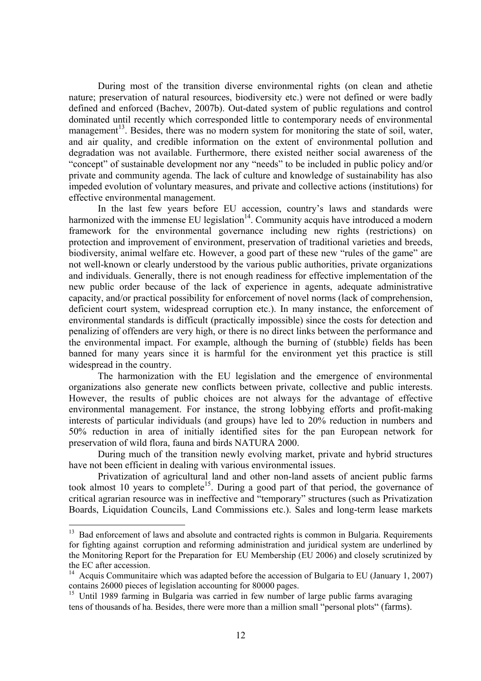During most of the transition diverse environmental rights (on clean and athetie nature; preservation of natural resources, biodiversity etc.) were not defined or were badly defined and enforced (Bachev, 2007b). Out-dated system of public regulations and control dominated until recently which corresponded little to contemporary needs of environmental management<sup>13</sup>. Besides, there was no modern system for monitoring the state of soil, water, and air quality, and credible information on the extent of environmental pollution and degradation was not available. Furthermore, there existed neither social awareness of the "concept" of sustainable development nor any "needs" to be included in public policy and/or private and community agenda. The lack of culture and knowledge of sustainability has also impeded evolution of voluntary measures, and private and collective actions (institutions) for effective environmental management.

In the last few years before EU accession, country's laws and standards were harmonized with the immense EU legislation $14$ . Community acquis have introduced a modern framework for the environmental governance including new rights (restrictions) on protection and improvement of environment, preservation of traditional varieties and breeds, biodiversity, animal welfare etc. However, a good part of these new "rules of the game" are not well-known or clearly understood by the various public authorities, private organizations and individuals. Generally, there is not enough readiness for effective implementation of the new public order because of the lack of experience in agents, adequate administrative capacity, and/or practical possibility for enforcement of novel norms (lack of comprehension, deficient court system, widespread corruption etc.). In many instance, the enforcement of environmental standards is difficult (practically impossible) since the costs for detection and penalizing of offenders are very high, or there is no direct links between the performance and the environmental impact. For example, although the burning of (stubble) fields has been banned for many years since it is harmful for the environment yet this practice is still widespread in the country.

The harmonization with the EU legislation and the emergence of environmental organizations also generate new conflicts between private, collective and public interests. However, the results of public choices are not always for the advantage of effective environmental management. For instance, the strong lobbying efforts and profit-making interests of particular individuals (and groups) have led to 20% reduction in numbers and 50% reduction in area of initially identified sites for the pan European network for preservation of wild flora, fauna and birds NATURA 2000.

During much of the transition newly evolving market, private and hybrid structures have not been efficient in dealing with various environmental issues.

Privatization of agricultural land and other non-land assets of ancient public farms took almost 10 years to complete<sup>15</sup>. During a good part of that period, the governance of critical agrarian resource was in ineffective and "temporary" structures (such as Privatization Boards, Liquidation Councils, Land Commissions etc.). Sales and long-term lease markets

<sup>&</sup>lt;sup>13</sup> Bad enforcement of laws and absolute and contracted rights is common in Bulgaria. Requirements for fighting against corruption and reforming administration and juridical system are underlined by the Monitoring Report for the Preparation for EU Membership (EU 2006) and closely scrutinized by the EC after accession.

<sup>&</sup>lt;sup>14</sup> Acquis Communitaire which was adapted before the accession of Bulgaria to EU (January 1, 2007) contains 26000 pieces of legislation accounting for 80000 pages.

<sup>&</sup>lt;sup>15</sup> Until 1989 farming in Bulgaria was carried in few number of large public farms avaraging tens of thousands of ha. Besides, there were more than a million small "personal plots" (farms).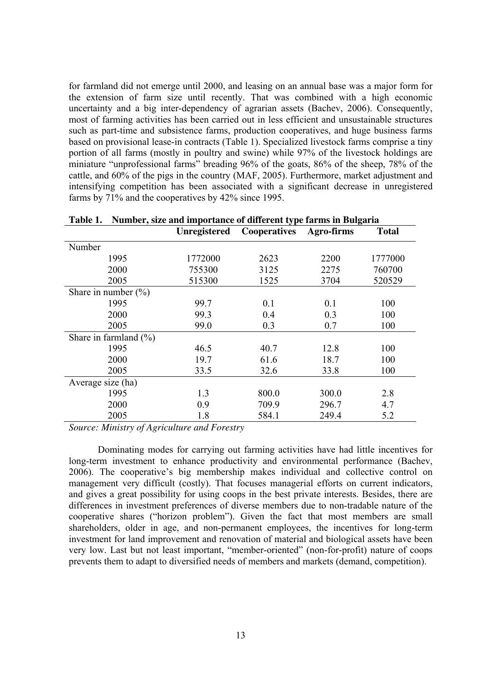for farmland did not emerge until 2000, and leasing on an annual base was a major form for the extension of farm size until recently. That was combined with a high economic uncertainty and a big inter-dependency of agrarian assets (Bachev, 2006). Consequently, most of farming activities has been carried out in less efficient and unsustainable structures such as part-time and subsistence farms, production cooperatives, and huge business farms based on provisional lease-in contracts (Table 1). Specialized livestock farms comprise a tiny portion of all farms (mostly in poultry and swine) while 97% of the livestock holdings are miniature "unprofessional farms" breading 96% of the goats, 86% of the sheep, 78% of the cattle, and 60% of the pigs in the country (MAF, 2005). Furthermore, market adjustment and intensifying competition has been associated with a significant decrease in unregistered farms by 71% and the cooperatives by 42% since 1995.

| Tavit 1.<br>Trainber, size and importance or unferent type farms in Duigaria |              |              |            |              |  |  |  |
|------------------------------------------------------------------------------|--------------|--------------|------------|--------------|--|--|--|
|                                                                              | Unregistered | Cooperatives | Agro-firms | <b>Total</b> |  |  |  |
| Number                                                                       |              |              |            |              |  |  |  |
| 1995                                                                         | 1772000      | 2623         | 2200       | 1777000      |  |  |  |
| 2000                                                                         | 755300       | 3125         | 2275       | 760700       |  |  |  |
| 2005                                                                         | 515300       | 1525         | 3704       | 520529       |  |  |  |
| Share in number $(\% )$                                                      |              |              |            |              |  |  |  |
| 1995                                                                         | 99.7         | 0.1          | 0.1        | 100          |  |  |  |
| 2000                                                                         | 99.3         | 0.4          | 0.3        | 100          |  |  |  |
| 2005                                                                         | 99.0         | 0.3          | 0.7        | 100          |  |  |  |
| Share in farmland $(\% )$                                                    |              |              |            |              |  |  |  |
| 1995                                                                         | 46.5         | 40.7         | 12.8       | 100          |  |  |  |
| 2000                                                                         | 19.7         | 61.6         | 18.7       | 100          |  |  |  |
| 2005                                                                         | 33.5         | 32.6         | 33.8       | 100          |  |  |  |
| Average size (ha)                                                            |              |              |            |              |  |  |  |
| 1995                                                                         | 1.3          | 800.0        | 300.0      | 2.8          |  |  |  |
| 2000                                                                         | 0.9          | 709.9        | 296.7      | 4.7          |  |  |  |
| 2005                                                                         | 1.8          | 584.1        | 249.4      | 5.2          |  |  |  |

**Table 1. Number, size and importance of different type farms in Bulgaria** 

*Source: Ministry of Agriculture and Forestry* 

Dominating modes for carrying out farming activities have had little incentives for long-term investment to enhance productivity and environmental performance (Bachev, 2006). The cooperative's big membership makes individual and collective control on management very difficult (costly). That focuses managerial efforts on current indicators, and gives a great possibility for using coops in the best private interests. Besides, there are differences in investment preferences of diverse members due to non-tradable nature of the cooperative shares ("horizon problem"). Given the fact that most members are small shareholders, older in age, and non-permanent employees, the incentives for long-term investment for land improvement and renovation of material and biological assets have been very low. Last but not least important, "member-oriented" (non-for-profit) nature of coops prevents them to adapt to diversified needs of members and markets (demand, competition).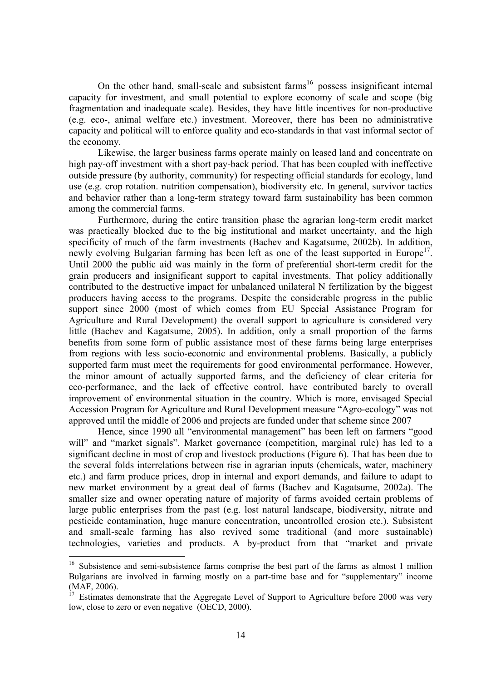On the other hand, small-scale and subsistent farms<sup>16</sup> possess insignificant internal capacity for investment, and small potential to explore economy of scale and scope (big fragmentation and inadequate scale). Besides, they have little incentives for non-productive (e.g. eco-, animal welfare etc.) investment. Moreover, there has been no administrative capacity and political will to enforce quality and eco-standards in that vast informal sector of the economy.

Likewise, the larger business farms operate mainly on leased land and concentrate on high pay-off investment with a short pay-back period. That has been coupled with ineffective outside pressure (by authority, community) for respecting official standards for ecology, land use (e.g. crop rotation. nutrition compensation), biodiversity etc. In general, survivor tactics and behavior rather than a long-term strategy toward farm sustainability has been common among the commercial farms.

Furthermore, during the entire transition phase the agrarian long-term credit market was practically blocked due to the big institutional and market uncertainty, and the high specificity of much of the farm investments (Bachev and Kagatsume, 2002b). In addition, newly evolving Bulgarian farming has been left as one of the least supported in Europe<sup>17</sup>. Until 2000 the public aid was mainly in the form of preferential short-term credit for the grain producers and insignificant support to capital investments. That policy additionally contributed to the destructive impact for unbalanced unilateral N fertilization by the biggest producers having access to the programs. Despite the considerable progress in the public support since 2000 (most of which comes from EU Special Assistance Program for Agriculture and Rural Development) the overall support to agriculture is considered very little (Bachev and Kagatsume, 2005). In addition, only a small proportion of the farms benefits from some form of public assistance most of these farms being large enterprises from regions with less socio-economic and environmental problems. Basically, a publicly supported farm must meet the requirements for good environmental performance. However, the minor amount of actually supported farms, and the deficiency of clear criteria for eco-performance, and the lack of effective control, have contributed barely to overall improvement of environmental situation in the country. Which is more, envisaged Special Accession Program for Agriculture and Rural Development measure "Agro-ecology" was not approved until the middle of 2006 and projects are funded under that scheme since 2007

Hence, since 1990 all "environmental management" has been left on farmers "good will" and "market signals". Market governance (competition, marginal rule) has led to a significant decline in most of crop and livestock productions (Figure 6). That has been due to the several folds interrelations between rise in agrarian inputs (chemicals, water, machinery etc.) and farm produce prices, drop in internal and export demands, and failure to adapt to new market environment by a great deal of farms (Bachev and Kagatsume, 2002a). The smaller size and owner operating nature of majority of farms avoided certain problems of large public enterprises from the past (e.g. lost natural landscape, biodiversity, nitrate and pesticide contamination, huge manure concentration, uncontrolled erosion etc.). Subsistent and small-scale farming has also revived some traditional (and more sustainable) technologies, varieties and products. A by-product from that "market and private

<sup>&</sup>lt;sup>16</sup> Subsistence and semi-subsistence farms comprise the best part of the farms as almost 1 million Bulgarians are involved in farming mostly on a part-time base and for "supplementary" income (MAF, 2006).

 $17$  Estimates demonstrate that the Aggregate Level of Support to Agriculture before 2000 was very low, close to zero or even negative (OECD, 2000).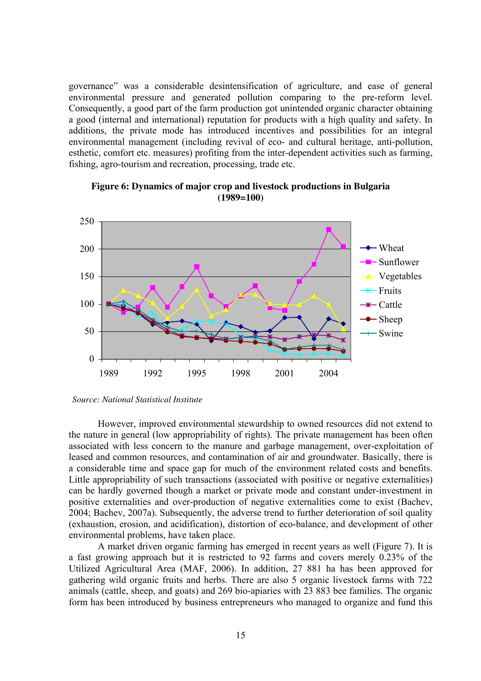governance" was a considerable desintensification of agriculture, and ease of general environmental pressure and generated pollution comparing to the pre-reform level. Consequently, a good part of the farm production got unintended organic character obtaining a good (internal and international) reputation for products with a high quality and safety. In additions, the private mode has introduced incentives and possibilities for an integral environmental management (including revival of eco- and cultural heritage, anti-pollution, esthetic, comfort etc. measures) profiting from the inter-dependent activities such as farming, fishing, agro-tourism and recreation, processing, trade etc.



**Figure 6: Dynamics of major crop and livestock productions in Bulgaria (1989=100)** 

#### *Source: National Statistical Institute*

However, improved environmental stewardship to owned resources did not extend to the nature in general (low appropriability of rights). The private management has been often associated with less concern to the manure and garbage management, over-exploitation of leased and common resources, and contamination of air and groundwater. Basically, there is a considerable time and space gap for much of the environment related costs and benefits. Little appropriability of such transactions (associated with positive or negative externalities) can be hardly governed though a market or private mode and constant under-investment in positive externalities and over-production of negative externalities come to exist (Bachev, 2004; Bachev, 2007a). Subsequently, the adverse trend to further deterioration of soil quality (exhaustion, erosion, and acidification), distortion of eco-balance, and development of other environmental problems, have taken place.

A market driven organic farming has emerged in recent years as well (Figure 7). It is a fast growing approach but it is restricted to 92 farms and covers merely 0.23% of the Utilized Agricultural Area (MAF, 2006). In addition, 27 881 ha has been approved for gathering wild organic fruits and herbs. There are also 5 organic livestock farms with 722 animals (cattle, sheep, and goats) and 269 bio-apiaries with 23 883 bee families. The organic form has been introduced by business entrepreneurs who managed to organize and fund this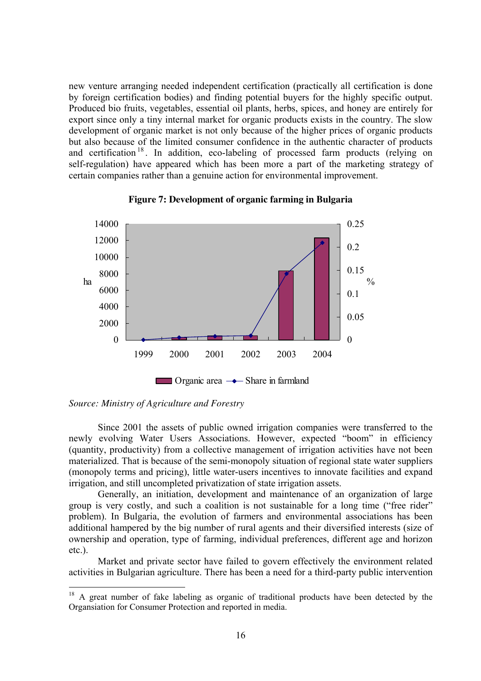new venture arranging needed independent certification (practically all certification is done by foreign certification bodies) and finding potential buyers for the highly specific output. Produced bio fruits, vegetables, essential oil plants, herbs, spices, and honey are entirely for export since only a tiny internal market for organic products exists in the country. The slow development of organic market is not only because of the higher prices of organic products but also because of the limited consumer confidence in the authentic character of products and certification<sup>18</sup>. In addition, eco-labeling of processed farm products (relying on self-regulation) have appeared which has been more a part of the marketing strategy of certain companies rather than a genuine action for environmental improvement.







 $\overline{a}$ 

Since 2001 the assets of public owned irrigation companies were transferred to the newly evolving Water Users Associations. However, expected "boom" in efficiency (quantity, productivity) from a collective management of irrigation activities have not been materialized. That is because of the semi-monopoly situation of regional state water suppliers (monopoly terms and pricing), little water-users incentives to innovate facilities and expand irrigation, and still uncompleted privatization of state irrigation assets.

Generally, an initiation, development and maintenance of an organization of large group is very costly, and such a coalition is not sustainable for a long time ("free rider" problem). In Bulgaria, the evolution of farmers and environmental associations has been additional hampered by the big number of rural agents and their diversified interests (size of ownership and operation, type of farming, individual preferences, different age and horizon etc.).

Market and private sector have failed to govern effectively the environment related activities in Bulgarian agriculture. There has been a need for a third-party public intervention

<sup>&</sup>lt;sup>18</sup> A great number of fake labeling as organic of traditional products have been detected by the Organsiation for Consumer Protection and reported in media.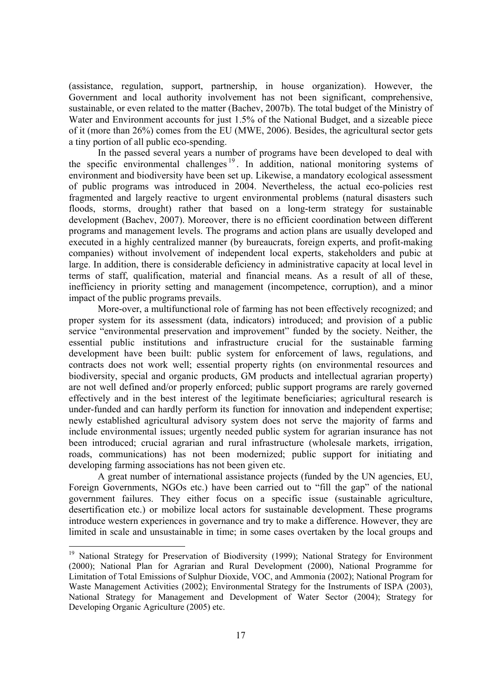(assistance, regulation, support, partnership, in house organization). However, the Government and local authority involvement has not been significant, comprehensive, sustainable, or even related to the matter (Bachev, 2007b). The total budget of the Ministry of Water and Environment accounts for just 1.5% of the National Budget, and a sizeable piece of it (more than 26%) comes from the EU (MWE, 2006). Besides, the agricultural sector gets a tiny portion of all public eco-spending.

In the passed several years a number of programs have been developed to deal with the specific environmental challenges <sup>19</sup> . In addition, national monitoring systems of environment and biodiversity have been set up. Likewise, a mandatory ecological assessment of public programs was introduced in 2004. Nevertheless, the actual eco-policies rest fragmented and largely reactive to urgent environmental problems (natural disasters such floods, storms, drought) rather that based on a long-term strategy for sustainable development (Bachev, 2007). Moreover, there is no efficient coordination between different programs and management levels. The programs and action plans are usually developed and executed in a highly centralized manner (by bureaucrats, foreign experts, and profit-making companies) without involvement of independent local experts, stakeholders and pubic at large. In addition, there is considerable deficiency in administrative capacity at local level in terms of staff, qualification, material and financial means. As a result of all of these, inefficiency in priority setting and management (incompetence, corruption), and a minor impact of the public programs prevails.

More-over, a multifunctional role of farming has not been effectively recognized; and proper system for its assessment (data, indicators) introduced; and provision of a public service "environmental preservation and improvement" funded by the society. Neither, the essential public institutions and infrastructure crucial for the sustainable farming development have been built: public system for enforcement of laws, regulations, and contracts does not work well; essential property rights (on environmental resources and biodiversity, special and organic products, GM products and intellectual agrarian property) are not well defined and/or properly enforced; public support programs are rarely governed effectively and in the best interest of the legitimate beneficiaries; agricultural research is under-funded and can hardly perform its function for innovation and independent expertise; newly established agricultural advisory system does not serve the majority of farms and include environmental issues; urgently needed public system for agrarian insurance has not been introduced; crucial agrarian and rural infrastructure (wholesale markets, irrigation, roads, communications) has not been modernized; public support for initiating and developing farming associations has not been given etc.

A great number of international assistance projects (funded by the UN agencies, EU, Foreign Governments, NGOs etc.) have been carried out to "fill the gap" of the national government failures. They either focus on a specific issue (sustainable agriculture, desertification etc.) or mobilize local actors for sustainable development. These programs introduce western experiences in governance and try to make a difference. However, they are limited in scale and unsustainable in time; in some cases overtaken by the local groups and

<sup>&</sup>lt;sup>19</sup> National Strategy for Preservation of Biodiversity (1999); National Strategy for Environment (2000); National Plan for Agrarian and Rural Development (2000), National Programme for Limitation of Total Emissions of Sulphur Dioxide, VOC, and Ammonia (2002); National Program for Waste Management Activities (2002); Environmental Strategy for the Instruments of ISPA (2003), National Strategy for Management and Development of Water Sector (2004); Strategy for Developing Organic Agriculture (2005) etc.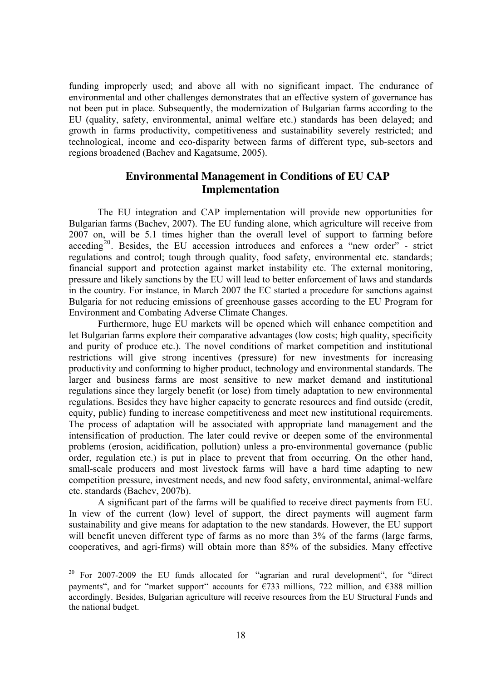funding improperly used; and above all with no significant impact. The endurance of environmental and other challenges demonstrates that an effective system of governance has not been put in place. Subsequently, the modernization of Bulgarian farms according to the EU (quality, safety, environmental, animal welfare etc.) standards has been delayed; and growth in farms productivity, competitiveness and sustainability severely restricted; and technological, income and eco-disparity between farms of different type, sub-sectors and regions broadened (Bachev and Kagatsume, 2005).

## **Environmental Management in Conditions of EU CAP Implementation**

The EU integration and CAP implementation will provide new opportunities for Bulgarian farms (Bachev, 2007). The EU funding alone, which agriculture will receive from 2007 on, will be 5.1 times higher than the overall level of support to farming before acceding<sup>20</sup>. Besides, the EU accession introduces and enforces a "new order" - strict regulations and control; tough through quality, food safety, environmental etc. standards; financial support and protection against market instability etc. The external monitoring, pressure and likely sanctions by the EU will lead to better enforcement of laws and standards in the country. For instance, in March 2007 the EC started a procedure for sanctions against Bulgaria for not reducing emissions of greenhouse gasses according to the EU Program for Environment and Combating Adverse Climate Changes.

Furthermore, huge EU markets will be opened which will enhance competition and let Bulgarian farms explore their comparative advantages (low costs; high quality, specificity and purity of produce etc.). The novel conditions of market competition and institutional restrictions will give strong incentives (pressure) for new investments for increasing productivity and conforming to higher product, technology and environmental standards. The larger and business farms are most sensitive to new market demand and institutional regulations since they largely benefit (or lose) from timely adaptation to new environmental regulations. Besides they have higher capacity to generate resources and find outside (credit, equity, public) funding to increase competitiveness and meet new institutional requirements. The process of adaptation will be associated with appropriate land management and the intensification of production. The later could revive or deepen some of the environmental problems (erosion, acidification, pollution) unless a pro-environmental governance (public order, regulation etc.) is put in place to prevent that from occurring. On the other hand, small-scale producers and most livestock farms will have a hard time adapting to new competition pressure, investment needs, and new food safety, environmental, animal-welfare etc. standards (Bachev, 2007b).

A significant part of the farms will be qualified to receive direct payments from EU. In view of the current (low) level of support, the direct payments will augment farm sustainability and give means for adaptation to the new standards. However, the EU support will benefit uneven different type of farms as no more than 3% of the farms (large farms, cooperatives, and agri-firms) will obtain more than 85% of the subsidies. Many effective

<sup>&</sup>lt;sup>20</sup> For 2007-2009 the EU funds allocated for "agrarian and rural development", for "direct payments", and for "market support" accounts for  $\epsilon$ 733 millions, 722 million, and  $\epsilon$ 388 million accordingly. Besides, Bulgarian agriculture will receive resources from the EU Structural Funds and the national budget.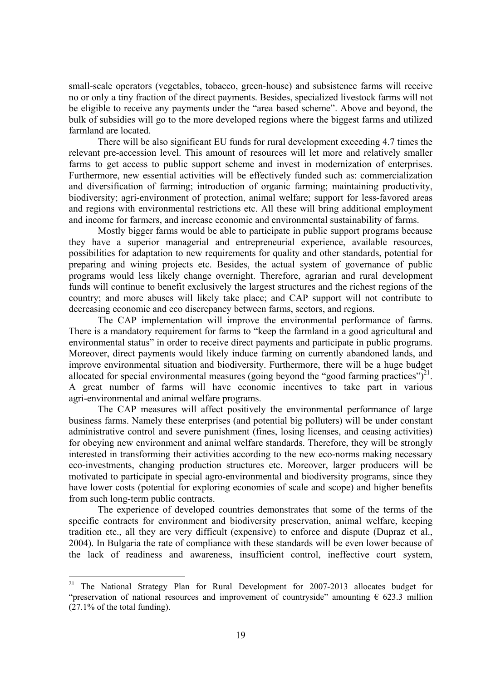small-scale operators (vegetables, tobacco, green-house) and subsistence farms will receive no or only a tiny fraction of the direct payments. Besides, specialized livestock farms will not be eligible to receive any payments under the "area based scheme". Above and beyond, the bulk of subsidies will go to the more developed regions where the biggest farms and utilized farmland are located.

There will be also significant EU funds for rural development exceeding 4.7 times the relevant pre-accession level. This amount of resources will let more and relatively smaller farms to get access to public support scheme and invest in modernization of enterprises. Furthermore, new essential activities will be effectively funded such as: commercialization and diversification of farming; introduction of organic farming; maintaining productivity, biodiversity; agri-environment of protection, animal welfare; support for less-favored areas and regions with environmental restrictions etc. All these will bring additional employment and income for farmers, and increase economic and environmental sustainability of farms.

Mostly bigger farms would be able to participate in public support programs because they have a superior managerial and entrepreneurial experience, available resources, possibilities for adaptation to new requirements for quality and other standards, potential for preparing and wining projects etc. Besides, the actual system of governance of public programs would less likely change overnight. Therefore, agrarian and rural development funds will continue to benefit exclusively the largest structures and the richest regions of the country; and more abuses will likely take place; and CAP support will not contribute to decreasing economic and eco discrepancy between farms, sectors, and regions.

The CAP implementation will improve the environmental performance of farms. There is a mandatory requirement for farms to "keep the farmland in a good agricultural and environmental status" in order to receive direct payments and participate in public programs. Moreover, direct payments would likely induce farming on currently abandoned lands, and improve environmental situation and biodiversity. Furthermore, there will be a huge budget allocated for special environmental measures (going beyond the "good farming practices") $2^{1}$ . A great number of farms will have economic incentives to take part in various agri-environmental and animal welfare programs.

The CAP measures will affect positively the environmental performance of large business farms. Namely these enterprises (and potential big polluters) will be under constant administrative control and severe punishment (fines, losing licenses, and ceasing activities) for obeying new environment and animal welfare standards. Therefore, they will be strongly interested in transforming their activities according to the new eco-norms making necessary eco-investments, changing production structures etc. Moreover, larger producers will be motivated to participate in special agro-environmental and biodiversity programs, since they have lower costs (potential for exploring economies of scale and scope) and higher benefits from such long-term public contracts.

The experience of developed countries demonstrates that some of the terms of the specific contracts for environment and biodiversity preservation, animal welfare, keeping tradition etc., all they are very difficult (expensive) to enforce and dispute (Dupraz et al., 2004). In Bulgaria the rate of compliance with these standards will be even lower because of the lack of readiness and awareness, insufficient control, ineffective court system,

<sup>&</sup>lt;sup>21</sup> The National Strategy Plan for Rural Development for 2007-2013 allocates budget for "preservation of national resources and improvement of countryside" amounting  $\epsilon$  623.3 million  $(27.1\% \text{ of the total funding}).$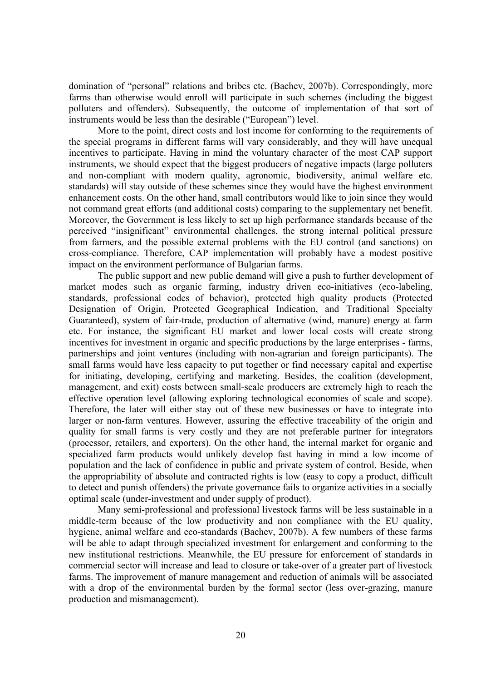domination of "personal" relations and bribes etc. (Bachev, 2007b). Correspondingly, more farms than otherwise would enroll will participate in such schemes (including the biggest polluters and offenders). Subsequently, the outcome of implementation of that sort of instruments would be less than the desirable ("European") level.

More to the point, direct costs and lost income for conforming to the requirements of the special programs in different farms will vary considerably, and they will have unequal incentives to participate. Having in mind the voluntary character of the most CAP support instruments, we should expect that the biggest producers of negative impacts (large polluters and non-compliant with modern quality, agronomic, biodiversity, animal welfare etc. standards) will stay outside of these schemes since they would have the highest environment enhancement costs. On the other hand, small contributors would like to join since they would not command great efforts (and additional costs) comparing to the supplementary net benefit. Moreover, the Government is less likely to set up high performance standards because of the perceived "insignificant" environmental challenges, the strong internal political pressure from farmers, and the possible external problems with the EU control (and sanctions) on cross-compliance. Therefore, CAP implementation will probably have a modest positive impact on the environment performance of Bulgarian farms.

The public support and new public demand will give a push to further development of market modes such as organic farming, industry driven eco-initiatives (eco-labeling, standards, professional codes of behavior), protected high quality products (Protected Designation of Origin, Protected Geographical Indication, and Traditional Specialty Guaranteed), system of fair-trade, production of alternative (wind, manure) energy at farm etc. For instance, the significant EU market and lower local costs will create strong incentives for investment in organic and specific productions by the large enterprises - farms, partnerships and joint ventures (including with non-agrarian and foreign participants). The small farms would have less capacity to put together or find necessary capital and expertise for initiating, developing, certifying and marketing. Besides, the coalition (development, management, and exit) costs between small-scale producers are extremely high to reach the effective operation level (allowing exploring technological economies of scale and scope). Therefore, the later will either stay out of these new businesses or have to integrate into larger or non-farm ventures. However, assuring the effective traceability of the origin and quality for small farms is very costly and they are not preferable partner for integrators (processor, retailers, and exporters). On the other hand, the internal market for organic and specialized farm products would unlikely develop fast having in mind a low income of population and the lack of confidence in public and private system of control. Beside, when the appropriability of absolute and contracted rights is low (easy to copy a product, difficult to detect and punish offenders) the private governance fails to organize activities in a socially optimal scale (under-investment and under supply of product).

Many semi-professional and professional livestock farms will be less sustainable in a middle-term because of the low productivity and non compliance with the EU quality, hygiene, animal welfare and eco-standards (Bachev, 2007b). A few numbers of these farms will be able to adapt through specialized investment for enlargement and conforming to the new institutional restrictions. Meanwhile, the EU pressure for enforcement of standards in commercial sector will increase and lead to closure or take-over of a greater part of livestock farms. The improvement of manure management and reduction of animals will be associated with a drop of the environmental burden by the formal sector (less over-grazing, manure production and mismanagement).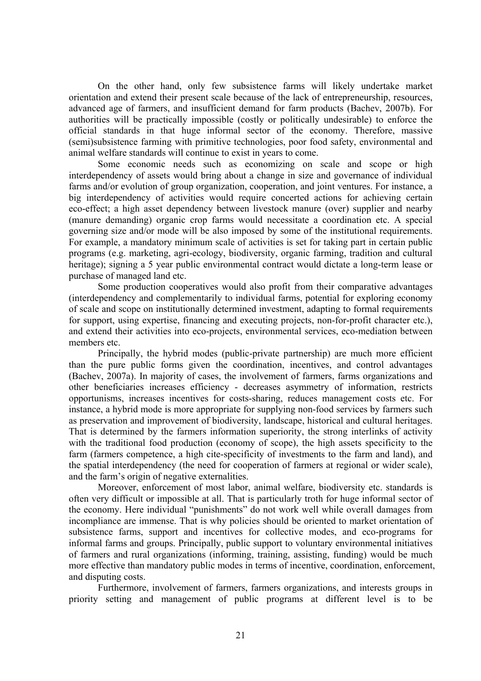On the other hand, only few subsistence farms will likely undertake market orientation and extend their present scale because of the lack of entrepreneurship, resources, advanced age of farmers, and insufficient demand for farm products (Bachev, 2007b). For authorities will be practically impossible (costly or politically undesirable) to enforce the official standards in that huge informal sector of the economy. Therefore, massive (semi)subsistence farming with primitive technologies, poor food safety, environmental and animal welfare standards will continue to exist in years to come.

Some economic needs such as economizing on scale and scope or high interdependency of assets would bring about a change in size and governance of individual farms and/or evolution of group organization, cooperation, and joint ventures. For instance, a big interdependency of activities would require concerted actions for achieving certain eco-effect; a high asset dependency between livestock manure (over) supplier and nearby (manure demanding) organic crop farms would necessitate a coordination etc. A special governing size and/or mode will be also imposed by some of the institutional requirements. For example, a mandatory minimum scale of activities is set for taking part in certain public programs (e.g. marketing, agri-ecology, biodiversity, organic farming, tradition and cultural heritage); signing a 5 year public environmental contract would dictate a long-term lease or purchase of managed land etc.

Some production cooperatives would also profit from their comparative advantages (interdependency and complementarily to individual farms, potential for exploring economy of scale and scope on institutionally determined investment, adapting to formal requirements for support, using expertise, financing and executing projects, non-for-profit character etc.), and extend their activities into eco-projects, environmental services, eco-mediation between members etc.

Principally, the hybrid modes (public-private partnership) are much more efficient than the pure public forms given the coordination, incentives, and control advantages (Bachev, 2007a). In majority of cases, the involvement of farmers, farms organizations and other beneficiaries increases efficiency - decreases asymmetry of information, restricts opportunisms, increases incentives for costs-sharing, reduces management costs etc. For instance, a hybrid mode is more appropriate for supplying non-food services by farmers such as preservation and improvement of biodiversity, landscape, historical and cultural heritages. That is determined by the farmers information superiority, the strong interlinks of activity with the traditional food production (economy of scope), the high assets specificity to the farm (farmers competence, a high cite-specificity of investments to the farm and land), and the spatial interdependency (the need for cooperation of farmers at regional or wider scale), and the farm's origin of negative externalities.

Moreover, enforcement of most labor, animal welfare, biodiversity etc. standards is often very difficult or impossible at all. That is particularly troth for huge informal sector of the economy. Here individual "punishments" do not work well while overall damages from incompliance are immense. That is why policies should be oriented to market orientation of subsistence farms, support and incentives for collective modes, and eco-programs for informal farms and groups. Principally, public support to voluntary environmental initiatives of farmers and rural organizations (informing, training, assisting, funding) would be much more effective than mandatory public modes in terms of incentive, coordination, enforcement, and disputing costs.

Furthermore, involvement of farmers, farmers organizations, and interests groups in priority setting and management of public programs at different level is to be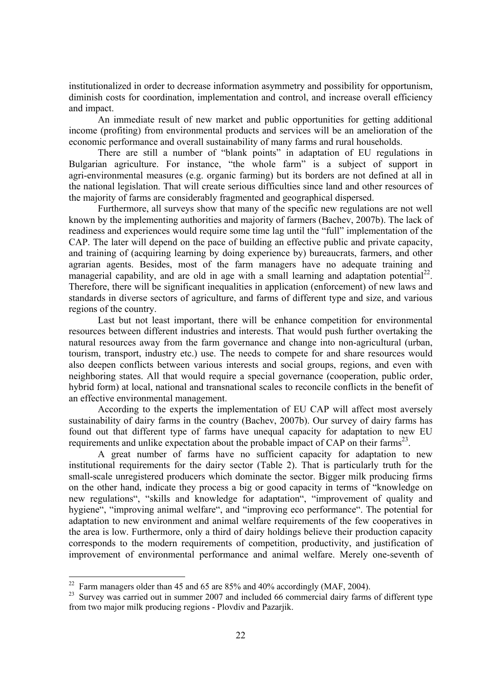institutionalized in order to decrease information asymmetry and possibility for opportunism, diminish costs for coordination, implementation and control, and increase overall efficiency and impact.

An immediate result of new market and public opportunities for getting additional income (profiting) from environmental products and services will be an amelioration of the economic performance and overall sustainability of many farms and rural households.

There are still a number of "blank points" in adaptation of EU regulations in Bulgarian agriculture. For instance, "the whole farm" is a subject of support in agri-environmental measures (e.g. organic farming) but its borders are not defined at all in the national legislation. That will create serious difficulties since land and other resources of the majority of farms are considerably fragmented and geographical dispersed.

Furthermore, all surveys show that many of the specific new regulations are not well known by the implementing authorities and majority of farmers (Bachev, 2007b). The lack of readiness and experiences would require some time lag until the "full" implementation of the CAP. The later will depend on the pace of building an effective public and private capacity, and training of (acquiring learning by doing experience by) bureaucrats, farmers, and other agrarian agents. Besides, most of the farm managers have no adequate training and managerial capability, and are old in age with a small learning and adaptation potential<sup>22</sup>. Therefore, there will be significant inequalities in application (enforcement) of new laws and standards in diverse sectors of agriculture, and farms of different type and size, and various regions of the country.

Last but not least important, there will be enhance competition for environmental resources between different industries and interests. That would push further overtaking the natural resources away from the farm governance and change into non-agricultural (urban, tourism, transport, industry etc.) use. The needs to compete for and share resources would also deepen conflicts between various interests and social groups, regions, and even with neighboring states. All that would require a special governance (cooperation, public order, hybrid form) at local, national and transnational scales to reconcile conflicts in the benefit of an effective environmental management.

According to the experts the implementation of EU CAP will affect most aversely sustainability of dairy farms in the country (Bachev, 2007b). Our survey of dairy farms has found out that different type of farms have unequal capacity for adaptation to new EU requirements and unlike expectation about the probable impact of CAP on their farms<sup>23</sup>.

A great number of farms have no sufficient capacity for adaptation to new institutional requirements for the dairy sector (Table 2). That is particularly truth for the small-scale unregistered producers which dominate the sector. Bigger milk producing firms on the other hand, indicate they process a big or good capacity in terms of "knowledge on new regulations", "skills and knowledge for adaptation", "improvement of quality and hygiene", "improving animal welfare", and "improving eco performance". The potential for adaptation to new environment and animal welfare requirements of the few cooperatives in the area is low. Furthermore, only a third of dairy holdings believe their production capacity corresponds to the modern requirements of competition, productivity, and justification of improvement of environmental performance and animal welfare. Merely one-seventh of

<sup>&</sup>lt;sup>22</sup> Farm managers older than 45 and 65 are 85% and 40% accordingly (MAF, 2004).

<sup>&</sup>lt;sup>23</sup> Survey was carried out in summer 2007 and included 66 commercial dairy farms of different type from two major milk producing regions - Plovdiv and Pazarjik.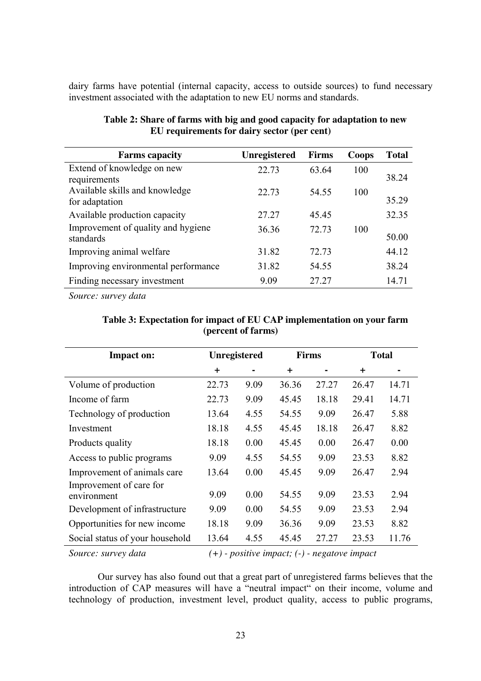dairy farms have potential (internal capacity, access to outside sources) to fund necessary investment associated with the adaptation to new EU norms and standards.

| <b>Farms capacity</b>               | <b>Unregistered</b> | <b>Firms</b> | Coops | <b>Total</b> |
|-------------------------------------|---------------------|--------------|-------|--------------|
| Extend of knowledge on new          | 22.73               | 63.64        | 100   |              |
| requirements                        |                     |              |       | 38.24        |
| Available skills and knowledge      | 22.73               | 54.55        | 100   |              |
| for adaptation                      |                     |              |       | 35.29        |
| Available production capacity       | 27.27               | 45.45        |       | 32.35        |
| Improvement of quality and hygiene  | 36.36               | 72.73        | 100   |              |
| standards                           |                     |              |       | 50.00        |
| Improving animal welfare            | 31.82               | 72.73        |       | 44.12        |
| Improving environmental performance | 31.82               | 54.55        |       | 38.24        |
| Finding necessary investment        | 9.09                | 27.27        |       | 14.71        |

| Table 2: Share of farms with big and good capacity for adaptation to new |
|--------------------------------------------------------------------------|
| EU requirements for dairy sector (per cent)                              |

*Source: survey data* 

| <b>Impact on:</b>                      | Unregistered                                   |      | <b>Firms</b> |       | <b>Total</b> |       |
|----------------------------------------|------------------------------------------------|------|--------------|-------|--------------|-------|
|                                        | $\pm$                                          |      | $\ddot{}$    |       | $\ddot{}$    |       |
| Volume of production                   | 22.73                                          | 9.09 | 36.36        | 27.27 | 26.47        | 14.71 |
| Income of farm                         | 22.73                                          | 9.09 | 45.45        | 18.18 | 29.41        | 14.71 |
| Technology of production               | 13.64                                          | 4.55 | 54.55        | 9.09  | 26.47        | 5.88  |
| Investment                             | 18.18                                          | 4.55 | 45.45        | 18.18 | 26.47        | 8.82  |
| Products quality                       | 18.18                                          | 0.00 | 45.45        | 0.00  | 26.47        | 0.00  |
| Access to public programs              | 9.09                                           | 4.55 | 54.55        | 9.09  | 23.53        | 8.82  |
| Improvement of animals care            | 13.64                                          | 0.00 | 45.45        | 9.09  | 26.47        | 2.94  |
| Improvement of care for<br>environment | 9.09                                           | 0.00 | 54.55        | 9.09  | 23.53        | 2.94  |
| Development of infrastructure          | 9.09                                           | 0.00 | 54.55        | 9.09  | 23.53        | 2.94  |
| Opportunities for new income           | 18.18                                          | 9.09 | 36.36        | 9.09  | 23.53        | 8.82  |
| Social status of your household        | 13.64                                          | 4.55 | 45.45        | 27.27 | 23.53        | 11.76 |
| Source: survey data                    | $(+)$ - positive impact; (-) - negatove impact |      |              |       |              |       |

## **Table 3: Expectation for impact of EU CAP implementation on your farm (percent of farms)**

Our survey has also found out that a great part of unregistered farms believes that the introduction of CAP measures will have a "neutral impact" on their income, volume and technology of production, investment level, product quality, access to public programs,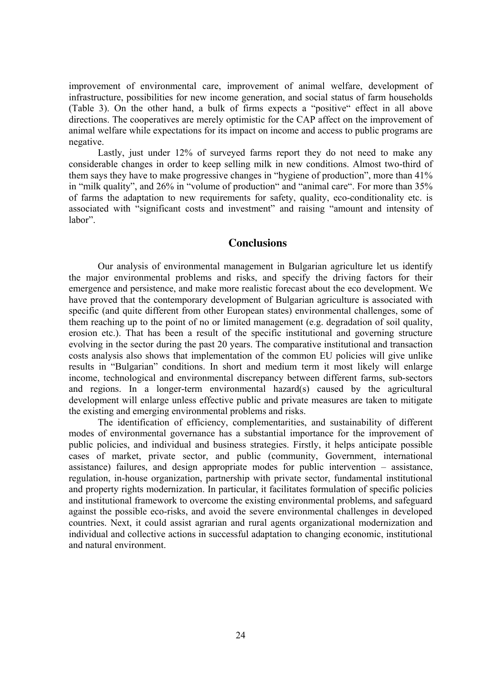improvement of environmental care, improvement of animal welfare, development of infrastructure, possibilities for new income generation, and social status of farm households (Table 3). On the other hand, a bulk of firms expects a "positive" effect in all above directions. The cooperatives are merely optimistic for the CAP affect on the improvement of animal welfare while expectations for its impact on income and access to public programs are negative.

Lastly, just under 12% of surveyed farms report they do not need to make any considerable changes in order to keep selling milk in new conditions. Almost two-third of them says they have to make progressive changes in "hygiene of production", more than 41% in "milk quality", and 26% in "volume of production" and "animal care". For more than 35% of farms the adaptation to new requirements for safety, quality, eco-conditionality etc. is associated with "significant costs and investment" and raising "amount and intensity of labor".

#### **Conclusions**

Our analysis of environmental management in Bulgarian agriculture let us identify the major environmental problems and risks, and specify the driving factors for their emergence and persistence, and make more realistic forecast about the eco development. We have proved that the contemporary development of Bulgarian agriculture is associated with specific (and quite different from other European states) environmental challenges, some of them reaching up to the point of no or limited management (e.g. degradation of soil quality, erosion etc.). That has been a result of the specific institutional and governing structure evolving in the sector during the past 20 years. The comparative institutional and transaction costs analysis also shows that implementation of the common EU policies will give unlike results in "Bulgarian" conditions. In short and medium term it most likely will enlarge income, technological and environmental discrepancy between different farms, sub-sectors and regions. In a longer-term environmental hazard(s) caused by the agricultural development will enlarge unless effective public and private measures are taken to mitigate the existing and emerging environmental problems and risks.

The identification of efficiency, complementarities, and sustainability of different modes of environmental governance has a substantial importance for the improvement of public policies, and individual and business strategies. Firstly, it helps anticipate possible cases of market, private sector, and public (community, Government, international assistance) failures, and design appropriate modes for public intervention – assistance, regulation, in-house organization, partnership with private sector, fundamental institutional and property rights modernization. In particular, it facilitates formulation of specific policies and institutional framework to overcome the existing environmental problems, and safeguard against the possible eco-risks, and avoid the severe environmental challenges in developed countries. Next, it could assist agrarian and rural agents organizational modernization and individual and collective actions in successful adaptation to changing economic, institutional and natural environment.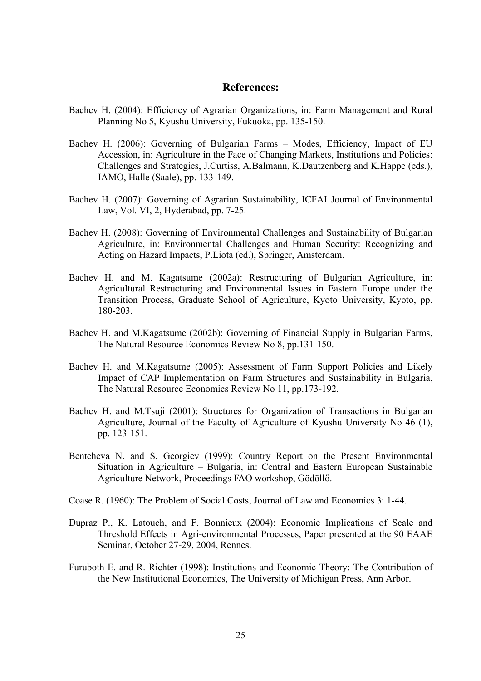#### **References:**

- Bachev H. (2004): Efficiency of Agrarian Organizations, in: Farm Management and Rural Planning No 5, Kyushu University, Fukuoka, pp. 135-150.
- Bachev H. (2006): Governing of Bulgarian Farms Modes, Efficiency, Impact of EU Accession, in: Agriculture in the Face of Changing Markets, Institutions and Policies: Challenges and Strategies, J.Curtiss, A.Balmann, K.Dautzenberg and K.Happe (eds.), IAMO, Halle (Saale), pp. 133-149.
- Bachev H. (2007): Governing of Agrarian Sustainability, ICFAI Journal of Environmental Law, Vol. VI, 2, Hyderabad, pp. 7-25.
- Bachev H. (2008): Governing of Environmental Challenges and Sustainability of Bulgarian Agriculture, in: Environmental Challenges and Human Security: Recognizing and Acting on Hazard Impacts, P.Liota (ed.), Springer, Amsterdam.
- Bachev H. and M. Kagatsume (2002a): Restructuring of Bulgarian Agriculture, in: Agricultural Restructuring and Environmental Issues in Eastern Europe under the Transition Process, Graduate School of Agriculture, Kyoto University, Kyoto, pp. 180-203.
- Bachev H. and M.Kagatsume (2002b): Governing of Financial Supply in Bulgarian Farms, The Natural Resource Economics Review No 8, pp.131-150.
- Bachev H. and M.Kagatsume (2005): Assessment of Farm Support Policies and Likely Impact of CAP Implementation on Farm Structures and Sustainability in Bulgaria, The Natural Resource Economics Review No 11, pp.173-192.
- Bachev H. and M.Tsuji (2001): Structures for Organization of Transactions in Bulgarian Agriculture, Journal of the Faculty of Agriculture of Kyushu University No 46 (1), pp. 123-151.
- Bentcheva N. and S. Georgiev (1999): Country Report on the Present Environmental Situation in Agriculture – Bulgaria, in: Central and Eastern European Sustainable Agriculture Network, Proceedings FAO workshop, Gödöllő.
- Coase R. (1960): The Problem of Social Costs, Journal of Law and Economics 3: 1-44.
- Dupraz P., K. Latouch, and F. Bonnieux (2004): Economic Implications of Scale and Threshold Effects in Agri-environmental Processes, Paper presented at the 90 EAAE Seminar, October 27-29, 2004, Rennes.
- Furuboth E. and R. Richter (1998): Institutions and Economic Theory: The Contribution of the New Institutional Economics, The University of Michigan Press, Ann Arbor.